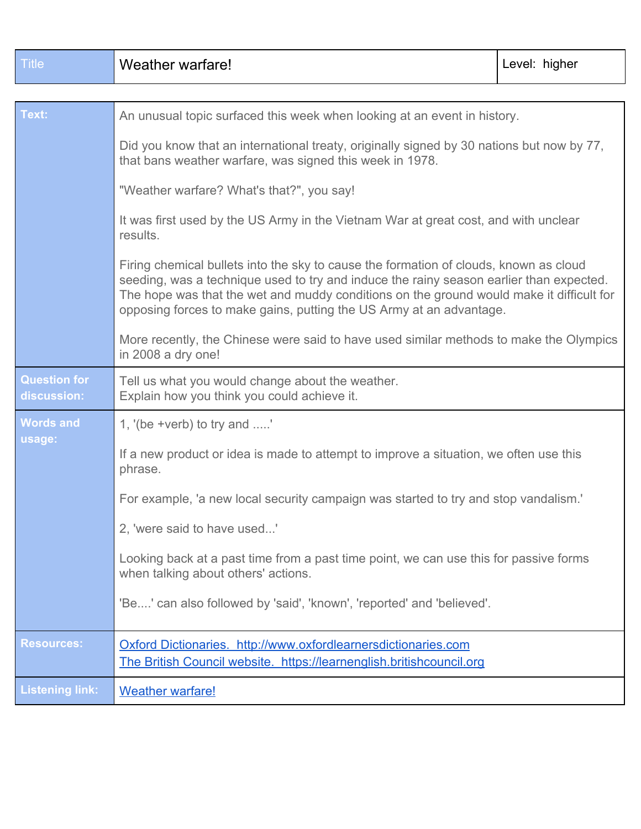| <b>Title</b>                       | Weather warfare!                                                                                                                                                                                                                                                                                                                                    | Level: higher |
|------------------------------------|-----------------------------------------------------------------------------------------------------------------------------------------------------------------------------------------------------------------------------------------------------------------------------------------------------------------------------------------------------|---------------|
|                                    |                                                                                                                                                                                                                                                                                                                                                     |               |
| Text:                              | An unusual topic surfaced this week when looking at an event in history.<br>Did you know that an international treaty, originally signed by 30 nations but now by 77,<br>that bans weather warfare, was signed this week in 1978.                                                                                                                   |               |
|                                    |                                                                                                                                                                                                                                                                                                                                                     |               |
|                                    | "Weather warfare? What's that?", you say!                                                                                                                                                                                                                                                                                                           |               |
|                                    | It was first used by the US Army in the Vietnam War at great cost, and with unclear<br>results.                                                                                                                                                                                                                                                     |               |
|                                    | Firing chemical bullets into the sky to cause the formation of clouds, known as cloud<br>seeding, was a technique used to try and induce the rainy season earlier than expected.<br>The hope was that the wet and muddy conditions on the ground would make it difficult for<br>opposing forces to make gains, putting the US Army at an advantage. |               |
|                                    | More recently, the Chinese were said to have used similar methods to make the Olympics<br>in 2008 a dry one!                                                                                                                                                                                                                                        |               |
| <b>Question for</b><br>discussion: | Tell us what you would change about the weather.<br>Explain how you think you could achieve it.                                                                                                                                                                                                                                                     |               |
| <b>Words and</b>                   | 1, $\forall$ (be +verb) to try and '                                                                                                                                                                                                                                                                                                                |               |
| usage:                             | If a new product or idea is made to attempt to improve a situation, we often use this<br>phrase.                                                                                                                                                                                                                                                    |               |
|                                    | For example, 'a new local security campaign was started to try and stop vandalism.'                                                                                                                                                                                                                                                                 |               |
|                                    | 2, 'were said to have used'                                                                                                                                                                                                                                                                                                                         |               |
|                                    | Looking back at a past time from a past time point, we can use this for passive forms<br>when talking about others' actions.                                                                                                                                                                                                                        |               |
|                                    | 'Be' can also followed by 'said', 'known', 'reported' and 'believed'.                                                                                                                                                                                                                                                                               |               |
| <b>Resources:</b>                  | Oxford Dictionaries. http://www.oxfordlearnersdictionaries.com<br>The British Council website. https://learnenglish.britishcouncil.org                                                                                                                                                                                                              |               |
| <b>Listening link:</b>             | <b>Weather warfare!</b>                                                                                                                                                                                                                                                                                                                             |               |